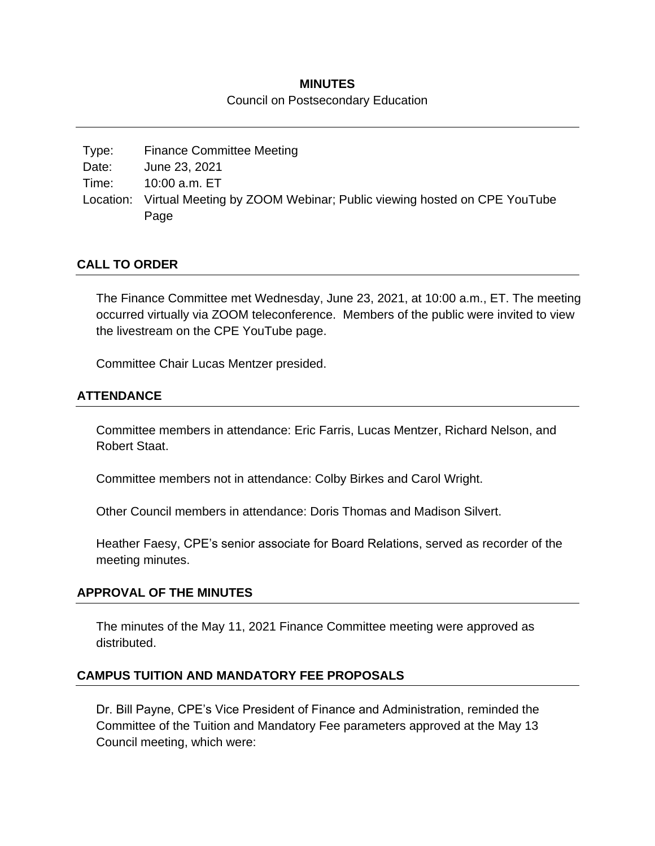#### **MINUTES**

#### Council on Postsecondary Education

Type: Finance Committee Meeting Date: June 23, 2021 Time: 10:00 a.m. ET Location: Virtual Meeting by ZOOM Webinar; Public viewing hosted on CPE YouTube Page

## **CALL TO ORDER**

The Finance Committee met Wednesday, June 23, 2021, at 10:00 a.m., ET. The meeting occurred virtually via ZOOM teleconference. Members of the public were invited to view the livestream on the CPE YouTube page.

Committee Chair Lucas Mentzer presided.

## **ATTENDANCE**

Committee members in attendance: Eric Farris, Lucas Mentzer, Richard Nelson, and Robert Staat.

Committee members not in attendance: Colby Birkes and Carol Wright.

Other Council members in attendance: Doris Thomas and Madison Silvert.

Heather Faesy, CPE's senior associate for Board Relations, served as recorder of the meeting minutes.

#### **APPROVAL OF THE MINUTES**

The minutes of the May 11, 2021 Finance Committee meeting were approved as distributed.

#### **CAMPUS TUITION AND MANDATORY FEE PROPOSALS**

Dr. Bill Payne, CPE's Vice President of Finance and Administration, reminded the Committee of the Tuition and Mandatory Fee parameters approved at the May 13 Council meeting, which were: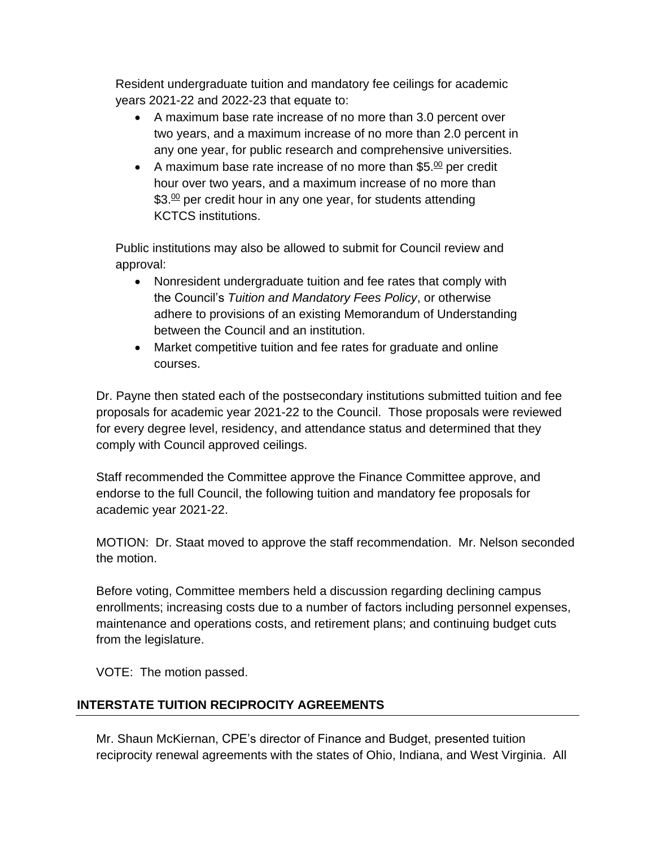Resident undergraduate tuition and mandatory fee ceilings for academic years 2021-22 and 2022-23 that equate to:

- A maximum base rate increase of no more than 3.0 percent over two years, and a maximum increase of no more than 2.0 percent in any one year, for public research and comprehensive universities.
- A maximum base rate increase of no more than  $$5.00$  per credit hour over two years, and a maximum increase of no more than \$3.<sup>00</sup> per credit hour in any one year, for students attending KCTCS institutions.

Public institutions may also be allowed to submit for Council review and approval:

- Nonresident undergraduate tuition and fee rates that comply with the Council's *Tuition and Mandatory Fees Policy*, or otherwise adhere to provisions of an existing Memorandum of Understanding between the Council and an institution.
- Market competitive tuition and fee rates for graduate and online courses.

Dr. Payne then stated each of the postsecondary institutions submitted tuition and fee proposals for academic year 2021-22 to the Council. Those proposals were reviewed for every degree level, residency, and attendance status and determined that they comply with Council approved ceilings.

Staff recommended the Committee approve the Finance Committee approve, and endorse to the full Council, the following tuition and mandatory fee proposals for academic year 2021-22.

MOTION: Dr. Staat moved to approve the staff recommendation. Mr. Nelson seconded the motion.

Before voting, Committee members held a discussion regarding declining campus enrollments; increasing costs due to a number of factors including personnel expenses, maintenance and operations costs, and retirement plans; and continuing budget cuts from the legislature.

VOTE: The motion passed.

# **INTERSTATE TUITION RECIPROCITY AGREEMENTS**

Mr. Shaun McKiernan, CPE's director of Finance and Budget, presented tuition reciprocity renewal agreements with the states of Ohio, Indiana, and West Virginia. All